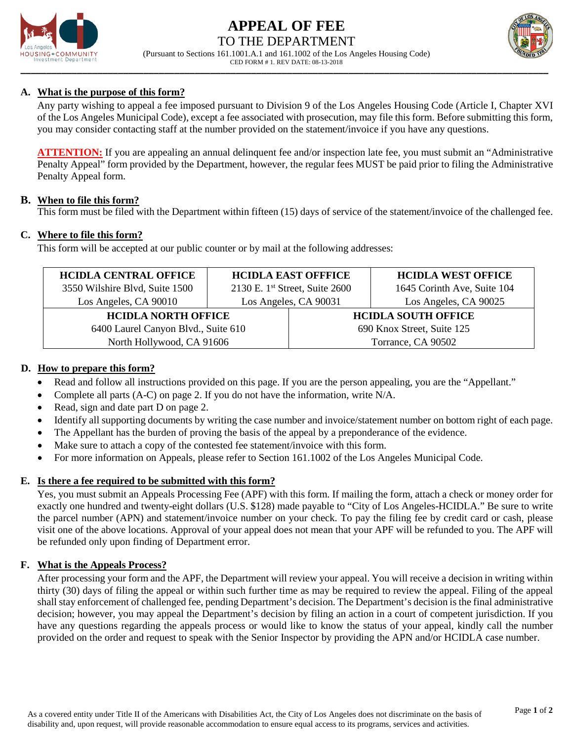

## **APPEAL OF FEE** TO THE DEPARTMENT



**\_\_\_\_\_\_\_\_\_\_\_\_\_\_\_\_\_\_\_\_\_\_\_\_\_\_\_\_\_\_\_\_\_\_\_\_\_\_\_\_\_\_\_\_\_\_\_\_\_\_\_\_\_\_\_\_\_\_\_\_\_\_\_\_\_\_\_\_\_\_\_\_\_\_\_\_\_\_\_\_\_\_\_\_\_\_\_\_\_\_\_\_\_\_\_\_\_\_\_\_\_\_\_** (Pursuant to Sections 161.1001.A.1 and 161.1002 of the Los Angeles Housing Code) CED FORM # 1. REV DATE: 08-13-2018

## **A. What is the purpose of this form?**

Any party wishing to appeal a fee imposed pursuant to Division 9 of the Los Angeles Housing Code (Article I, Chapter XVI of the Los Angeles Municipal Code), except a fee associated with prosecution, may file this form. Before submitting this form, you may consider contacting staff at the number provided on the statement/invoice if you have any questions.

**ATTENTION:** If you are appealing an annual delinquent fee and/or inspection late fee, you must submit an "Administrative" Penalty Appeal" form provided by the Department, however, the regular fees MUST be paid prior to filing the Administrative Penalty Appeal form.

#### **B. When to file this form?**

This form must be filed with the Department within fifteen (15) days of service of the statement/invoice of the challenged fee.

#### **C. Where to file this form?**

This form will be accepted at our public counter or by mail at the following addresses:

| <b>HCIDLA CENTRAL OFFICE</b><br>3550 Wilshire Blvd, Suite 1500 | <b>HCIDLA EAST OFFFICE</b><br>2130 E. 1 <sup>st</sup> Street, Suite 2600 |                            | <b>HCIDLA WEST OFFICE</b><br>1645 Corinth Ave, Suite 104 |
|----------------------------------------------------------------|--------------------------------------------------------------------------|----------------------------|----------------------------------------------------------|
| Los Angeles, CA 90010                                          | Los Angeles, CA 90031                                                    |                            | Los Angeles, CA 90025                                    |
| <b>HCIDLA NORTH OFFICE</b>                                     |                                                                          | <b>HCIDLA SOUTH OFFICE</b> |                                                          |
| 6400 Laurel Canyon Blvd., Suite 610                            |                                                                          | 690 Knox Street, Suite 125 |                                                          |
| North Hollywood, CA 91606                                      |                                                                          | Torrance, CA 90502         |                                                          |

#### **D. How to prepare this form?**

- Read and follow all instructions provided on this page. If you are the person appealing, you are the "Appellant."
- Complete all parts (A-C) on page 2. If you do not have the information, write N/A.
- Read, sign and date part D on page 2.
- Identify all supporting documents by writing the case number and invoice/statement number on bottom right of each page.
- The Appellant has the burden of proving the basis of the appeal by a preponderance of the evidence.
- Make sure to attach a copy of the contested fee statement/invoice with this form.
- For more information on Appeals, please refer to Section 161.1002 of the Los Angeles Municipal Code.

### **E. Is there a fee required to be submitted with this form?**

Yes, you must submit an Appeals Processing Fee (APF) with this form. If mailing the form, attach a check or money order for exactly one hundred and twenty-eight dollars (U.S. \$128) made payable to "City of Los Angeles-HCIDLA." Be sure to write the parcel number (APN) and statement/invoice number on your check. To pay the filing fee by credit card or cash, please visit one of the above locations. Approval of your appeal does not mean that your APF will be refunded to you. The APF will be refunded only upon finding of Department error.

#### **F. What is the Appeals Process?**

After processing your form and the APF, the Department will review your appeal. You will receive a decision in writing within thirty (30) days of filing the appeal or within such further time as may be required to review the appeal. Filing of the appeal shall stay enforcement of challenged fee, pending Department's decision. The Department's decision is the final administrative decision; however, you may appeal the Department's decision by filing an action in a court of competent jurisdiction. If you have any questions regarding the appeals process or would like to know the status of your appeal, kindly call the number provided on the order and request to speak with the Senior Inspector by providing the APN and/or HCIDLA case number.